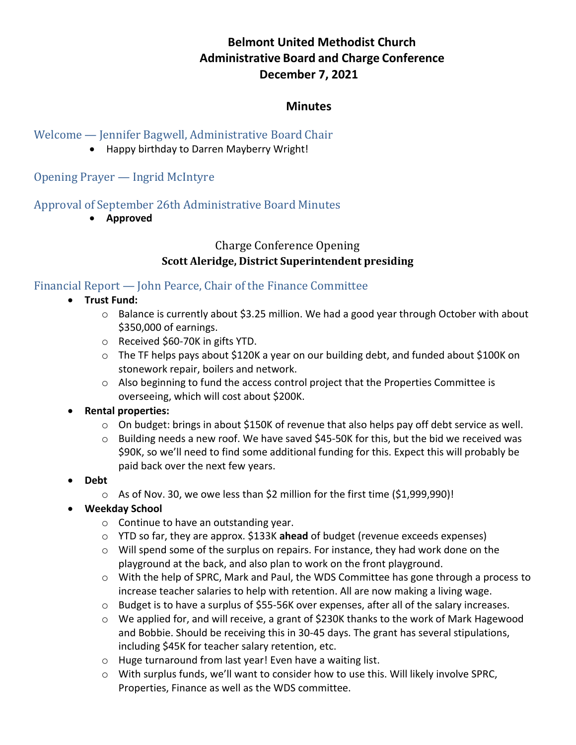# **Belmont United Methodist Church Administrative Board and Charge Conference December 7, 2021**

### **Minutes**

### Welcome — Jennifer Bagwell, Administrative Board Chair

• Happy birthday to Darren Mayberry Wright!

## Opening Prayer — Ingrid McIntyre

## Approval of September 26th Administrative Board Minutes

• **Approved**

# Charge Conference Opening **Scott Aleridge, District Superintendent presiding**

# Financial Report — John Pearce, Chair of the Finance Committee

- **Trust Fund:** 
	- o Balance is currently about \$3.25 million. We had a good year through October with about \$350,000 of earnings.
	- o Received \$60-70K in gifts YTD.
	- o The TF helps pays about \$120K a year on our building debt, and funded about \$100K on stonework repair, boilers and network.
	- o Also beginning to fund the access control project that the Properties Committee is overseeing, which will cost about \$200K.

### • **Rental properties:**

- $\circ$  On budget: brings in about \$150K of revenue that also helps pay off debt service as well.
- $\circ$  Building needs a new roof. We have saved \$45-50K for this, but the bid we received was \$90K, so we'll need to find some additional funding for this. Expect this will probably be paid back over the next few years.
- **Debt** 
	- o As of Nov. 30, we owe less than \$2 million for the first time (\$1,999,990)!

### • **Weekday School**

- o Continue to have an outstanding year.
- o YTD so far, they are approx. \$133K **ahead** of budget (revenue exceeds expenses)
- $\circ$  Will spend some of the surplus on repairs. For instance, they had work done on the playground at the back, and also plan to work on the front playground.
- o With the help of SPRC, Mark and Paul, the WDS Committee has gone through a process to increase teacher salaries to help with retention. All are now making a living wage.
- o Budget is to have a surplus of \$55-56K over expenses, after all of the salary increases.
- o We applied for, and will receive, a grant of \$230K thanks to the work of Mark Hagewood and Bobbie. Should be receiving this in 30-45 days. The grant has several stipulations, including \$45K for teacher salary retention, etc.
- o Huge turnaround from last year! Even have a waiting list.
- o With surplus funds, we'll want to consider how to use this. Will likely involve SPRC, Properties, Finance as well as the WDS committee.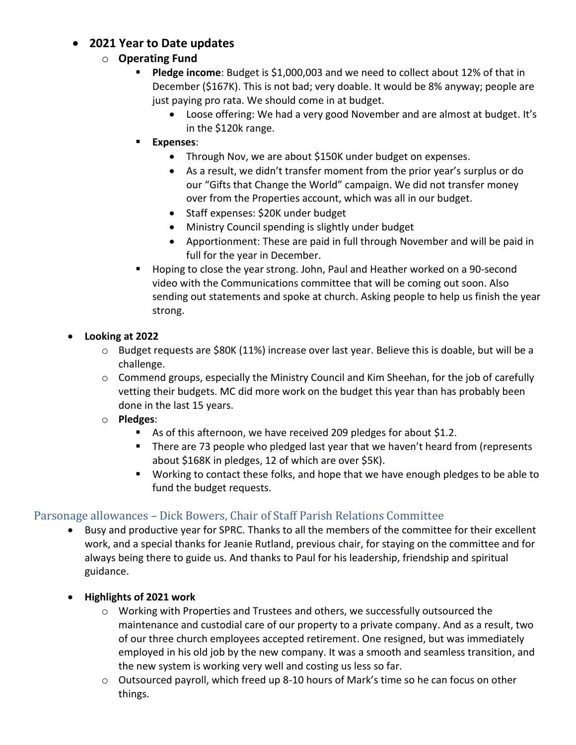# • **2021 Year to Date updates**

## o **Operating Fund**

- **Pledge income**: Budget is \$1,000,003 and we need to collect about 12% of that in December (\$167K). This is not bad; very doable. It would be 8% anyway; people are just paying pro rata. We should come in at budget.
	- Loose offering: We had a very good November and are almost at budget. It's in the \$120k range.
- **Expenses**:
	- Through Nov, we are about \$150K under budget on expenses.
	- As a result, we didn't transfer moment from the prior year's surplus or do our "Gifts that Change the World" campaign. We did not transfer money over from the Properties account, which was all in our budget.
	- Staff expenses: \$20K under budget
	- Ministry Council spending is slightly under budget
	- Apportionment: These are paid in full through November and will be paid in full for the year in December.
- Hoping to close the year strong. John, Paul and Heather worked on a 90-second video with the Communications committee that will be coming out soon. Also sending out statements and spoke at church. Asking people to help us finish the year strong.

## • **Looking at 2022**

- o Budget requests are \$80K (11%) increase over last year. Believe this is doable, but will be a challenge.
- $\circ$  Commend groups, especially the Ministry Council and Kim Sheehan, for the job of carefully vetting their budgets. MC did more work on the budget this year than has probably been done in the last 15 years.
- o **Pledges**:
	- As of this afternoon, we have received 209 pledges for about \$1.2.
	- There are 73 people who pledged last year that we haven't heard from (represents about \$168K in pledges, 12 of which are over \$5K).
	- Working to contact these folks, and hope that we have enough pledges to be able to fund the budget requests.

# Parsonage allowances – Dick Bowers, Chair of Staff Parish Relations Committee

- Busy and productive year for SPRC. Thanks to all the members of the committee for their excellent work, and a special thanks for Jeanie Rutland, previous chair, for staying on the committee and for always being there to guide us. And thanks to Paul for his leadership, friendship and spiritual guidance.
- **Highlights of 2021 work**
	- $\circ$  Working with Properties and Trustees and others, we successfully outsourced the maintenance and custodial care of our property to a private company. And as a result, two of our three church employees accepted retirement. One resigned, but was immediately employed in his old job by the new company. It was a smooth and seamless transition, and the new system is working very well and costing us less so far.
	- $\circ$  Outsourced payroll, which freed up 8-10 hours of Mark's time so he can focus on other things.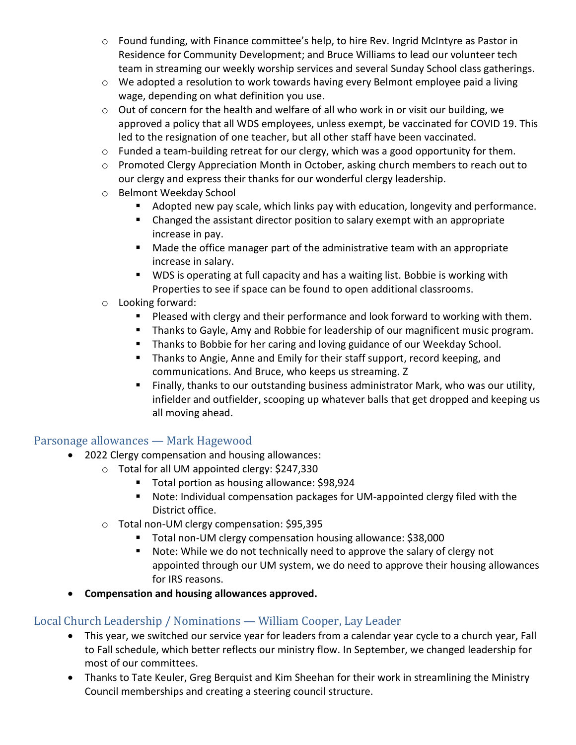- o Found funding, with Finance committee's help, to hire Rev. Ingrid McIntyre as Pastor in Residence for Community Development; and Bruce Williams to lead our volunteer tech team in streaming our weekly worship services and several Sunday School class gatherings.
- o We adopted a resolution to work towards having every Belmont employee paid a living wage, depending on what definition you use.
- o Out of concern for the health and welfare of all who work in or visit our building, we approved a policy that all WDS employees, unless exempt, be vaccinated for COVID 19. This led to the resignation of one teacher, but all other staff have been vaccinated.
- o Funded a team-building retreat for our clergy, which was a good opportunity for them.
- o Promoted Clergy Appreciation Month in October, asking church members to reach out to our clergy and express their thanks for our wonderful clergy leadership.
- o Belmont Weekday School
	- Adopted new pay scale, which links pay with education, longevity and performance.
	- Changed the assistant director position to salary exempt with an appropriate increase in pay.
	- Made the office manager part of the administrative team with an appropriate increase in salary.
	- WDS is operating at full capacity and has a waiting list. Bobbie is working with Properties to see if space can be found to open additional classrooms.
- o Looking forward:
	- Pleased with clergy and their performance and look forward to working with them.
	- Thanks to Gayle, Amy and Robbie for leadership of our magnificent music program.
	- Thanks to Bobbie for her caring and loving guidance of our Weekday School.
	- Thanks to Angie, Anne and Emily for their staff support, record keeping, and communications. And Bruce, who keeps us streaming. Z
	- Finally, thanks to our outstanding business administrator Mark, who was our utility, infielder and outfielder, scooping up whatever balls that get dropped and keeping us all moving ahead.

### Parsonage allowances — Mark Hagewood

- 2022 Clergy compensation and housing allowances:
	- o Total for all UM appointed clergy: \$247,330
		- Total portion as housing allowance: \$98,924
		- Note: Individual compensation packages for UM-appointed clergy filed with the District office.
	- o Total non-UM clergy compensation: \$95,395
		- Total non-UM clergy compensation housing allowance: \$38,000
		- Note: While we do not technically need to approve the salary of clergy not appointed through our UM system, we do need to approve their housing allowances for IRS reasons.
- **Compensation and housing allowances approved.**

# Local Church Leadership / Nominations — William Cooper, Lay Leader

- This year, we switched our service year for leaders from a calendar year cycle to a church year, Fall to Fall schedule, which better reflects our ministry flow. In September, we changed leadership for most of our committees.
- Thanks to Tate Keuler, Greg Berquist and Kim Sheehan for their work in streamlining the Ministry Council memberships and creating a steering council structure.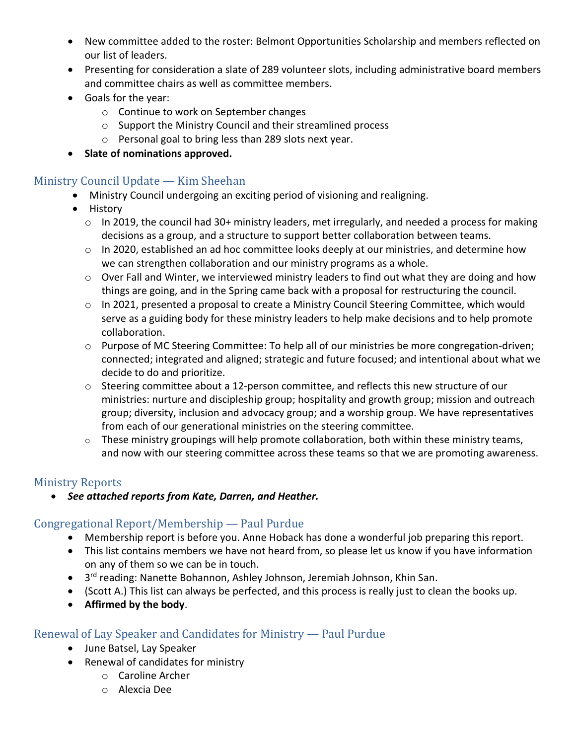- New committee added to the roster: Belmont Opportunities Scholarship and members reflected on our list of leaders.
- Presenting for consideration a slate of 289 volunteer slots, including administrative board members and committee chairs as well as committee members.
- Goals for the year:
	- o Continue to work on September changes
	- o Support the Ministry Council and their streamlined process
	- o Personal goal to bring less than 289 slots next year.
- **Slate of nominations approved.**

## Ministry Council Update — Kim Sheehan

- Ministry Council undergoing an exciting period of visioning and realigning.
- History
	- o In 2019, the council had 30+ ministry leaders, met irregularly, and needed a process for making decisions as a group, and a structure to support better collaboration between teams.
	- $\circ$  In 2020, established an ad hoc committee looks deeply at our ministries, and determine how we can strengthen collaboration and our ministry programs as a whole.
	- $\circ$  Over Fall and Winter, we interviewed ministry leaders to find out what they are doing and how things are going, and in the Spring came back with a proposal for restructuring the council.
	- $\circ$  In 2021, presented a proposal to create a Ministry Council Steering Committee, which would serve as a guiding body for these ministry leaders to help make decisions and to help promote collaboration.
	- o Purpose of MC Steering Committee: To help all of our ministries be more congregation-driven; connected; integrated and aligned; strategic and future focused; and intentional about what we decide to do and prioritize.
	- o Steering committee about a 12-person committee, and reflects this new structure of our ministries: nurture and discipleship group; hospitality and growth group; mission and outreach group; diversity, inclusion and advocacy group; and a worship group. We have representatives from each of our generational ministries on the steering committee.
	- $\circ$  These ministry groupings will help promote collaboration, both within these ministry teams, and now with our steering committee across these teams so that we are promoting awareness.

### Ministry Reports

• *See attached reports from Kate, Darren, and Heather.* 

# Congregational Report/Membership — Paul Purdue

- Membership report is before you. Anne Hoback has done a wonderful job preparing this report.
- This list contains members we have not heard from, so please let us know if you have information on any of them so we can be in touch.
- 3<sup>rd</sup> reading: Nanette Bohannon, Ashley Johnson, Jeremiah Johnson, Khin San.
- (Scott A.) This list can always be perfected, and this process is really just to clean the books up.
- **Affirmed by the body**.

# Renewal of Lay Speaker and Candidates for Ministry — Paul Purdue

- June Batsel, Lay Speaker
- Renewal of candidates for ministry
	- o Caroline Archer
	- o Alexcia Dee